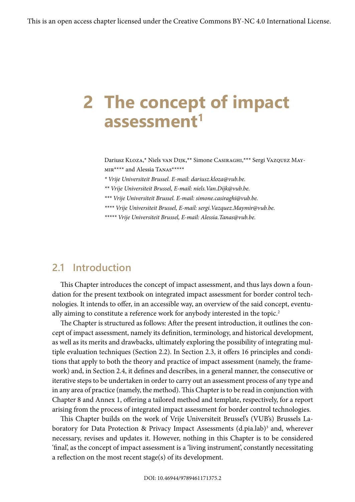# **2 The concept of impact assessment1**

Dariusz Kloza,\* Niels van Dijk,\*\* Simone Casiraghi,\*\*\* Sergi Vazquez Maymir\*\*\*\* and Alessia Tanas\*\*\*\*\*

*\* Vrije Universiteit Brussel. E-mail: dariusz.kloza@vub.be.*

*\*\* Vrije Universiteit Brussel, E-mail: niels.Van.Dijk@vub.be.*

*\*\*\* Vrije Universiteit Brussel. E-mail: simone.casiraghi@vub.be.*

*\*\*\*\* Vrije Universiteit Brussel, E-mail: sergi.Vazquez.Maymir@vub.be.*

*\*\*\*\*\* Vrije Universiteit Brussel, E-mail: Alessia.Tanas@vub.be.*

## **2.1 Introduction**

This Chapter introduces the concept of impact assessment, and thus lays down a foundation for the present textbook on integrated impact assessment for border control technologies. It intends to offer, in an accessible way, an overview of the said concept, eventually aiming to constitute a reference work for anybody interested in the topic.<sup>2</sup>

The Chapter is structured as follows: After the present introduction, it outlines the concept of impact assessment, namely its definition, terminology, and historical development, as well as its merits and drawbacks, ultimately exploring the possibility of integrating multiple evaluation techniques (Section 2.2). In Section 2.3, it offers 16 principles and conditions that apply to both the theory and practice of impact assessment (namely, the framework) and, in Section 2.4, it defines and describes, in a general manner, the consecutive or iterative steps to be undertaken in order to carry out an assessment process of any type and in any area of practice (namely, the method). This Chapter is to be read in conjunction with Chapter 8 and Annex 1, offering a tailored method and template, respectively, for a report arising from the process of integrated impact assessment for border control technologies.

This Chapter builds on the work of Vrije Universiteit Brussel's (VUB's) Brussels Laboratory for Data Protection & Privacy Impact Assessments (d.pia.lab)<sup>3</sup> and, wherever necessary, revises and updates it. However, nothing in this Chapter is to be considered 'final', as the concept of impact assessment is a 'living instrument', constantly necessitating a reflection on the most recent stage(s) of its development.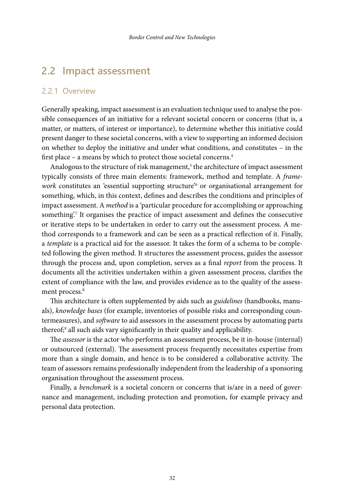## **2.2 Impact assessment**

## 2.2.1 Overview

Generally speaking, impact assessment is an evaluation technique used to analyse the possible consequences of an initiative for a relevant societal concern or concerns (that is, a matter, or matters, of interest or importance), to determine whether this initiative could present danger to these societal concerns, with a view to supporting an informed decision on whether to deploy the initiative and under what conditions, and constitutes – in the first place – a means by which to protect those societal concerns.4

Analogous to the structure of risk management, $5$  the architecture of impact assessment typically consists of three main elements: framework, method and template. A *framework* constitutes an 'essential supporting structure'6 or organisational arrangement for something, which, in this context, defines and describes the conditions and principles of impact assessment. A *method* is a 'particular procedure for accomplishing or approaching something'.7 It organises the practice of impact assessment and defines the consecutive or iterative steps to be undertaken in order to carry out the assessment process. A method corresponds to a framework and can be seen as a practical reflection of it. Finally, a *template* is a practical aid for the assessor. It takes the form of a schema to be completed following the given method. It structures the assessment process, guides the assessor through the process and, upon completion, serves as a final *report* from the process. It documents all the activities undertaken within a given assessment process, clarifies the extent of compliance with the law, and provides evidence as to the quality of the assessment process.<sup>8</sup>

This architecture is often supplemented by aids such as *guidelines* (handbooks, manuals), *knowledge bases* (for example, inventories of possible risks and corresponding countermeasures), and *software* to aid assessors in the assessment process by automating parts thereof;9 all such aids vary significantly in their quality and applicability.

The *assessor* is the actor who performs an assessment process, be it in-house (internal) or outsourced (external). The assessment process frequently necessitates expertise from more than a single domain, and hence is to be considered a collaborative activity. The team of assessors remains professionally independent from the leadership of a sponsoring organisation throughout the assessment process.

Finally, a *benchmark* is a societal concern or concerns that is/are in a need of governance and management, including protection and promotion, for example privacy and personal data protection.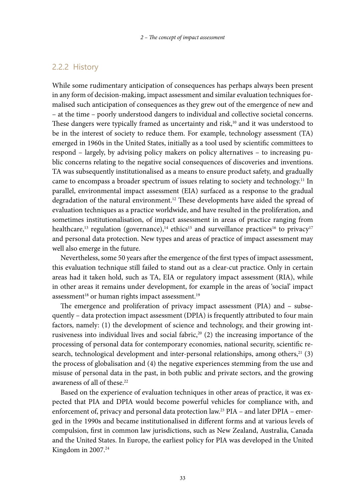#### 2.2.2 History

While some rudimentary anticipation of consequences has perhaps always been present in any form of decision-making, impact assessment and similar evaluation techniques formalised such anticipation of consequences as they grew out of the emergence of new and – at the time – poorly understood dangers to individual and collective societal concerns. These dangers were typically framed as uncertainty and risk, $10$  and it was understood to be in the interest of society to reduce them. For example, technology assessment (TA) emerged in 1960s in the United States, initially as a tool used by scientific committees to respond – largely, by advising policy makers on policy alternatives – to increasing public concerns relating to the negative social consequences of discoveries and inventions. TA was subsequently institutionalised as a means to ensure product safety, and gradually came to encompass a broader spectrum of issues relating to society and technology.<sup>11</sup> In parallel, environmental impact assessment (EIA) surfaced as a response to the gradual degradation of the natural environment.12 These developments have aided the spread of evaluation techniques as a practice worldwide, and have resulted in the proliferation, and sometimes institutionalisation, of impact assessment in areas of practice ranging from healthcare,<sup>13</sup> regulation (governance),<sup>14</sup> ethics<sup>15</sup> and surveillance practices<sup>16</sup> to privacy<sup>17</sup> and personal data protection. New types and areas of practice of impact assessment may well also emerge in the future.

Nevertheless, some 50 years after the emergence of the first types of impact assessment, this evaluation technique still failed to stand out as a clear-cut practice. Only in certain areas had it taken hold, such as TA, EIA or regulatory impact assessment (RIA), while in other areas it remains under development, for example in the areas of 'social' impact assessment<sup>18</sup> or human rights impact assessment.<sup>19</sup>

The emergence and proliferation of privacy impact assessment (PIA) and – subsequently – data protection impact assessment (DPIA) is frequently attributed to four main factors, namely: (1) the development of science and technology, and their growing intrusiveness into individual lives and social fabric,<sup>20</sup> (2) the increasing importance of the processing of personal data for contemporary economies, national security, scientific research, technological development and inter-personal relationships, among others, $21$  (3) the process of globalisation and (4) the negative experiences stemming from the use and misuse of personal data in the past, in both public and private sectors, and the growing awareness of all of these.22

Based on the experience of evaluation techniques in other areas of practice, it was expected that PIA and DPIA would become powerful vehicles for compliance with, and enforcement of, privacy and personal data protection law.23 PIA – and later DPIA – emerged in the 1990s and became institutionalised in different forms and at various levels of compulsion, first in common law jurisdictions, such as New Zealand, Australia, Canada and the United States. In Europe, the earliest policy for PIA was developed in the United Kingdom in 2007.<sup>24</sup>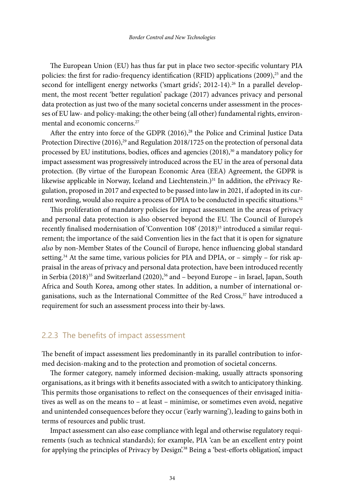The European Union (EU) has thus far put in place two sector-specific voluntary PIA policies: the first for radio-frequency identification (RFID) applications (2009),<sup>25</sup> and the second for intelligent energy networks ('smart grids'; 2012-14).<sup>26</sup> In a parallel development, the most recent 'better regulation' package (2017) advances privacy and personal data protection as just two of the many societal concerns under assessment in the processes of EU law- and policy-making; the other being (all other) fundamental rights, environmental and economic concerns.<sup>27</sup>

After the entry into force of the GDPR (2016),<sup>28</sup> the Police and Criminal Justice Data Protection Directive (2016),<sup>29</sup> and Regulation 2018/1725 on the protection of personal data processed by EU institutions, bodies, offices and agencies  $(2018)^{30}$  a mandatory policy for impact assessment was progressively introduced across the EU in the area of personal data protection. (By virtue of the European Economic Area (EEA) Agreement, the GDPR is likewise applicable in Norway, Iceland and Liechtenstein.) $31$  In addition, the ePrivacy Regulation, proposed in 2017 and expected to be passed into law in 2021, if adopted in its current wording, would also require a process of DPIA to be conducted in specific situations.32

This proliferation of mandatory policies for impact assessment in the areas of privacy and personal data protection is also observed beyond the EU. The Council of Europe's recently finalised modernisation of 'Convention 108' (2018)<sup>33</sup> introduced a similar requirement; the importance of the said Convention lies in the fact that it is open for signature *also* by non-Member States of the Council of Europe, hence influencing global standard setting.<sup>34</sup> At the same time, various policies for PIA and DPIA, or – simply – for risk appraisal in the areas of privacy and personal data protection, have been introduced recently in Serbia (2018)<sup>35</sup> and Switzerland (2020),<sup>36</sup> and – beyond Europe – in Israel, Japan, South Africa and South Korea, among other states. In addition, a number of international organisations, such as the International Committee of the Red Cross, $37$  have introduced a requirement for such an assessment process into their by-laws.

#### 2.2.3 The benefits of impact assessment

The benefit of impact assessment lies predominantly in its parallel contribution to informed decision-making and to the protection and promotion of societal concerns.

The former category, namely informed decision-making, usually attracts sponsoring organisations, as it brings with it benefits associated with a switch to anticipatory thinking. This permits those organisations to reflect on the consequences of their envisaged initiatives as well as on the means to – at least – minimise, or sometimes even avoid, negative and unintended consequences before they occur ('early warning'), leading to gains both in terms of resources and public trust.

Impact assessment can also ease compliance with legal and otherwise regulatory requirements (such as technical standards); for example, PIA 'can be an excellent entry point for applying the principles of Privacy by Design'.38 Being a 'best-efforts obligation', impact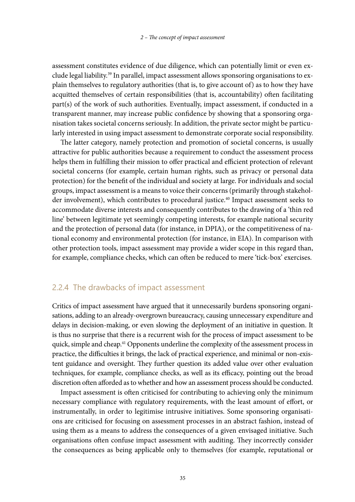assessment constitutes evidence of due diligence, which can potentially limit or even exclude legal liability.39 In parallel, impact assessment allows sponsoring organisations to explain themselves to regulatory authorities (that is, to give account of) as to how they have acquitted themselves of certain responsibilities (that is, accountability) often facilitating part(s) of the work of such authorities. Eventually, impact assessment, if conducted in a transparent manner, may increase public confidence by showing that a sponsoring organisation takes societal concerns seriously. In addition, the private sector might be particularly interested in using impact assessment to demonstrate corporate social responsibility.

The latter category, namely protection and promotion of societal concerns, is usually attractive for public authorities because a requirement to conduct the assessment process helps them in fulfilling their mission to offer practical and efficient protection of relevant societal concerns (for example, certain human rights, such as privacy or personal data protection) for the benefit of the individual and society at large. For individuals and social groups, impact assessment is a means to voice their concerns (primarily through stakeholder involvement), which contributes to procedural justice.<sup>40</sup> Impact assessment seeks to accommodate diverse interests and consequently contributes to the drawing of a 'thin red line' between legitimate yet seemingly competing interests, for example national security and the protection of personal data (for instance, in DPIA), or the competitiveness of national economy and environmental protection (for instance, in EIA). In comparison with other protection tools, impact assessment may provide a wider scope in this regard than, for example, compliance checks, which can often be reduced to mere 'tick-box' exercises.

## 2.2.4 The drawbacks of impact assessment

Critics of impact assessment have argued that it unnecessarily burdens sponsoring organisations, adding to an already-overgrown bureaucracy, causing unnecessary expenditure and delays in decision-making, or even slowing the deployment of an initiative in question. It is thus no surprise that there is a recurrent wish for the process of impact assessment to be quick, simple and cheap.<sup>41</sup> Opponents underline the complexity of the assessment process in practice, the difficulties it brings, the lack of practical experience, and minimal or non-existent guidance and oversight. They further question its added value over other evaluation techniques, for example, compliance checks, as well as its efficacy, pointing out the broad discretion often afforded as to whether and how an assessment process should be conducted.

Impact assessment is often criticised for contributing to achieving only the minimum necessary compliance with regulatory requirements, with the least amount of effort, or instrumentally, in order to legitimise intrusive initiatives. Some sponsoring organisations are criticised for focusing on assessment processes in an abstract fashion, instead of using them as a means to address the consequences of a given envisaged initiative. Such organisations often confuse impact assessment with auditing. They incorrectly consider the consequences as being applicable only to themselves (for example, reputational or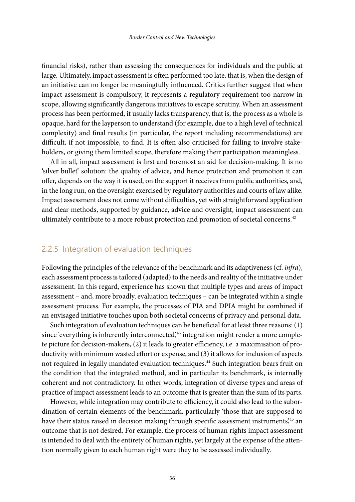financial risks), rather than assessing the consequences for individuals and the public at large. Ultimately, impact assessment is often performed too late, that is, when the design of an initiative can no longer be meaningfully influenced. Critics further suggest that when impact assessment is compulsory, it represents a regulatory requirement too narrow in scope, allowing significantly dangerous initiatives to escape scrutiny. When an assessment process has been performed, it usually lacks transparency, that is, the process as a whole is opaque, hard for the layperson to understand (for example, due to a high level of technical complexity) and final results (in particular, the report including recommendations) are difficult, if not impossible, to find. It is often also criticised for failing to involve stakeholders, or giving them limited scope, therefore making their participation meaningless.

All in all, impact assessment is first and foremost an aid for decision-making. It is no 'silver bullet' solution: the quality of advice, and hence protection and promotion it can offer, depends on the way it is used, on the support it receives from public authorities, and, in the long run, on the oversight exercised by regulatory authorities and courts of law alike. Impact assessment does not come without difficulties, yet with straightforward application and clear methods, supported by guidance, advice and oversight, impact assessment can ultimately contribute to a more robust protection and promotion of societal concerns.<sup>42</sup>

### 2.2.5 Integration of evaluation techniques

Following the principles of the relevance of the benchmark and its adaptiveness (cf. *infra*), each assessment process is tailored (adapted) to the needs and reality of the initiative under assessment. In this regard, experience has shown that multiple types and areas of impact assessment – and, more broadly, evaluation techniques – can be integrated within a single assessment process. For example, the processes of PIA and DPIA might be combined if an envisaged initiative touches upon both societal concerns of privacy and personal data.

Such integration of evaluation techniques can be beneficial for at least three reasons: (1) since 'everything is inherently interconnected',<sup>43</sup> integration might render a more complete picture for decision-makers, (2) it leads to greater efficiency, i.e. a maximisation of productivity with minimum wasted effort or expense, and (3) it allows for inclusion of aspects not required in legally mandated evaluation techniques.44 Such integration bears fruit on the condition that the integrated method, and in particular its benchmark, is internally coherent and not contradictory. In other words, integration of diverse types and areas of practice of impact assessment leads to an outcome that is greater than the sum of its parts.

However, while integration may contribute to efficiency, it could also lead to the subordination of certain elements of the benchmark, particularly 'those that are supposed to have their status raised in decision making through specific assessment instruments',45 an outcome that is not desired. For example, the process of human rights impact assessment is intended to deal with the entirety of human rights, yet largely at the expense of the attention normally given to each human right were they to be assessed individually.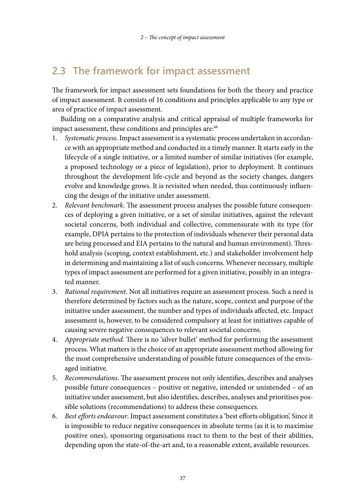## **2.3 The framework for impact assessment**

The framework for impact assessment sets foundations for both the theory and practice of impact assessment. It consists of 16 conditions and principles applicable to any type or area of practice of impact assessment.

Building on a comparative analysis and critical appraisal of multiple frameworks for impact assessment, these conditions and principles are:<sup>46</sup>

- 1. *Systematic process*. Impact assessment is a systematic process undertaken in accordance with an appropriate method and conducted in a timely manner. It starts early in the lifecycle of a single initiative, or a limited number of similar initiatives (for example, a proposed technology or a piece of legislation), prior to deployment. It continues throughout the development life-cycle and beyond as the society changes, dangers evolve and knowledge grows. It is revisited when needed, thus continuously influencing the design of the initiative under assessment.
- 2. *Relevant benchmark*. The assessment process analyses the possible future consequences of deploying a given initiative, or a set of similar initiatives, against the relevant societal concerns, both individual and collective, commensurate with its type (for example, DPIA pertains to the protection of individuals whenever their personal data are being processed and EIA pertains to the natural and human environment). Threshold analysis (scoping, context establishment, etc.) and stakeholder involvement help in determining and maintaining a list of such concerns. Whenever necessary, multiple types of impact assessment are performed for a given initiative, possibly in an integrated manner.
- 3. *Rational requirement*. Not all initiatives require an assessment process. Such a need is therefore determined by factors such as the nature, scope, context and purpose of the initiative under assessment, the number and types of individuals affected, etc. Impact assessment is, however, to be considered compulsory at least for initiatives capable of causing severe negative consequences to relevant societal concerns.
- 4. *Appropriate method*. There is no 'silver bullet' method for performing the assessment process. What matters is the choice of an appropriate assessment method allowing for the most comprehensive understanding of possible future consequences of the envisaged initiative.
- 5. *Recommendations*. The assessment process not only identifies, describes and analyses possible future consequences – positive or negative, intended or unintended – of an initiative under assessment, but also identifies, describes, analyses and prioritises possible solutions (recommendations) to address these consequences.
- 6. *Best efforts endeavour*. Impact assessment constitutes a 'best efforts obligation'. Since it is impossible to reduce negative consequences in absolute terms (as it is to maximise positive ones), sponsoring organisations react to them to the best of their abilities, depending upon the state-of-the-art and, to a reasonable extent, available resources.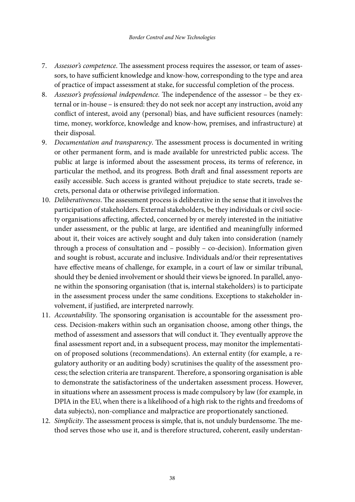- 7. *Assessor's competence*. The assessment process requires the assessor, or team of assessors, to have sufficient knowledge and know-how, corresponding to the type and area of practice of impact assessment at stake, for successful completion of the process.
- 8. *Assessor's professional independence.* The independence of the assessor be they external or in-house – is ensured: they do not seek nor accept any instruction, avoid any conflict of interest, avoid any (personal) bias, and have sufficient resources (namely: time, money, workforce, knowledge and know-how, premises, and infrastructure) at their disposal.
- 9. *Documentation and transparency*. The assessment process is documented in writing or other permanent form, and is made available for unrestricted public access. The public at large is informed about the assessment process, its terms of reference, in particular the method, and its progress. Both draft and final assessment reports are easily accessible. Such access is granted without prejudice to state secrets, trade secrets, personal data or otherwise privileged information.
- 10. *Deliberativeness*. The assessment process is deliberative in the sense that it involves the participation of stakeholders. External stakeholders, be they individuals or civil society organisations affecting, affected, concerned by or merely interested in the initiative under assessment, or the public at large, are identified and meaningfully informed about it, their voices are actively sought and duly taken into consideration (namely through a process of consultation and – possibly – co-decision). Information given and sought is robust, accurate and inclusive. Individuals and/or their representatives have effective means of challenge, for example, in a court of law or similar tribunal, should they be denied involvement or should their views be ignored. In parallel, anyone within the sponsoring organisation (that is, internal stakeholders) is to participate in the assessment process under the same conditions. Exceptions to stakeholder involvement, if justified, are interpreted narrowly.
- 11. *Accountability*. The sponsoring organisation is accountable for the assessment process. Decision-makers within such an organisation choose, among other things, the method of assessment and assessors that will conduct it. They eventually approve the final assessment report and, in a subsequent process, may monitor the implementation of proposed solutions (recommendations). An external entity (for example, a regulatory authority or an auditing body) scrutinises the quality of the assessment process; the selection criteria are transparent. Therefore, a sponsoring organisation is able to demonstrate the satisfactoriness of the undertaken assessment process. However, in situations where an assessment process is made compulsory by law (for example, in DPIA in the EU, when there is a likelihood of a high risk to the rights and freedoms of data subjects), non-compliance and malpractice are proportionately sanctioned.
- 12. *Simplicity*. The assessment process is simple, that is, not unduly burdensome. The method serves those who use it, and is therefore structured, coherent, easily understan-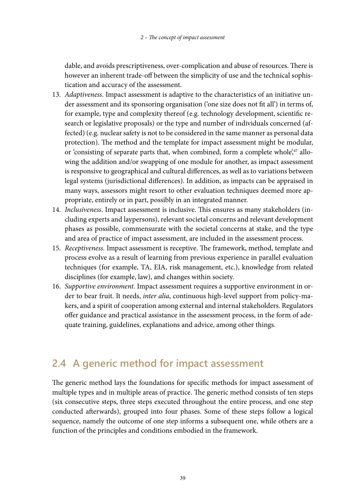dable, and avoids prescriptiveness, over-complication and abuse of resources. There is however an inherent trade-off between the simplicity of use and the technical sophistication and accuracy of the assessment.

- 13. *Adaptiveness*. Impact assessment is adaptive to the characteristics of an initiative under assessment and its sponsoring organisation ('one size does not fit all') in terms of, for example, type and complexity thereof (e.g. technology development, scientific research or legislative proposals) or the type and number of individuals concerned (affected) (e.g. nuclear safety is not to be considered in the same manner as personal data protection). The method and the template for impact assessment might be modular, or 'consisting of separate parts that, when combined, form a complete whole', $47$  allowing the addition and/or swapping of one module for another, as impact assessment is responsive to geographical and cultural differences, as well as to variations between legal systems (jurisdictional differences). In addition, as impacts can be appraised in many ways, assessors might resort to other evaluation techniques deemed more appropriate, entirely or in part, possibly in an integrated manner.
- 14. *Inclusiveness*. Impact assessment is inclusive. This ensures as many stakeholders (including experts and laypersons), relevant societal concerns and relevant development phases as possible, commensurate with the societal concerns at stake, and the type and area of practice of impact assessment, are included in the assessment process.
- 15. *Receptiveness*. Impact assessment is receptive. The framework, method, template and process evolve as a result of learning from previous experience in parallel evaluation techniques (for example, TA, EIA, risk management, etc.), knowledge from related disciplines (for example, law), and changes within society.
- 16. *Supportive environment*. Impact assessment requires a supportive environment in order to bear fruit. It needs, *inter alia*, continuous high-level support from policy-makers, and a spirit of cooperation among external and internal stakeholders. Regulators offer guidance and practical assistance in the assessment process, in the form of adequate training, guidelines, explanations and advice, among other things.

## **2.4 A generic method for impact assessment**

The generic method lays the foundations for specific methods for impact assessment of multiple types and in multiple areas of practice. The generic method consists of ten steps (six consecutive steps, three steps executed throughout the entire process, and one step conducted afterwards), grouped into four phases. Some of these steps follow a logical sequence, namely the outcome of one step informs a subsequent one, while others are a function of the principles and conditions embodied in the framework.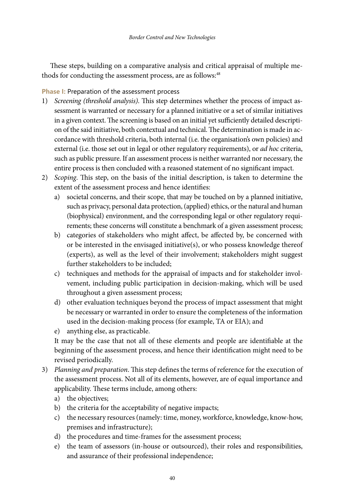These steps, building on a comparative analysis and critical appraisal of multiple methods for conducting the assessment process, are as follows:<sup>48</sup>

**Phase I:** Preparation of the assessment process

- 1) *Screening (threshold analysis)*. This step determines whether the process of impact assessment is warranted or necessary for a planned initiative or a set of similar initiatives in a given context. The screening is based on an initial yet sufficiently detailed description of the said initiative, both contextual and technical. The determination is made in accordance with threshold criteria, both internal (i.e. the organisation's own policies) and external (i.e. those set out in legal or other regulatory requirements), or *ad hoc* criteria, such as public pressure. If an assessment process is neither warranted nor necessary, the entire process is then concluded with a reasoned statement of no significant impact.
- 2) *Scoping*. This step, on the basis of the initial description, is taken to determine the extent of the assessment process and hence identifies:
	- a) societal concerns, and their scope, that may be touched on by a planned initiative, such as privacy, personal data protection, (applied) ethics, or the natural and human (biophysical) environment, and the corresponding legal or other regulatory requirements; these concerns will constitute a benchmark of a given assessment process;
	- b) categories of stakeholders who might affect, be affected by, be concerned with or be interested in the envisaged initiative(s), or who possess knowledge thereof (experts), as well as the level of their involvement; stakeholders might suggest further stakeholders to be included;
	- c) techniques and methods for the appraisal of impacts and for stakeholder involvement, including public participation in decision-making, which will be used throughout a given assessment process;
	- d) other evaluation techniques beyond the process of impact assessment that might be necessary or warranted in order to ensure the completeness of the information used in the decision-making process (for example, TA or EIA); and
	- e) anything else, as practicable.

It may be the case that not all of these elements and people are identifiable at the beginning of the assessment process, and hence their identification might need to be revised periodically.

- 3) *Planning and preparation*. This step defines the terms of reference for the execution of the assessment process. Not all of its elements, however, are of equal importance and applicability. These terms include, among others:
	- a) the objectives;
	- b) the criteria for the acceptability of negative impacts;
	- c) the necessary resources (namely: time, money, workforce, knowledge, know-how, premises and infrastructure);
	- d) the procedures and time-frames for the assessment process;
	- e) the team of assessors (in-house or outsourced), their roles and responsibilities, and assurance of their professional independence;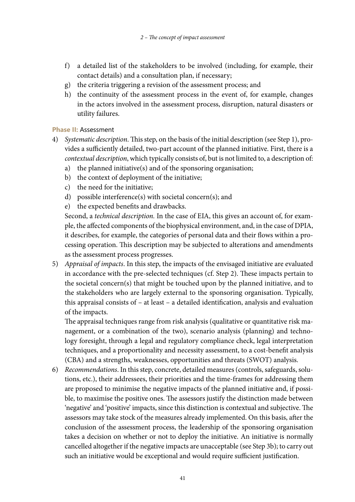- f) a detailed list of the stakeholders to be involved (including, for example, their contact details) and a consultation plan, if necessary;
- g) the criteria triggering a revision of the assessment process; and
- h) the continuity of the assessment process in the event of, for example, changes in the actors involved in the assessment process, disruption, natural disasters or utility failures.

#### **Phase II:** Assessment

- 4) *Systematic description*. This step, on the basis of the initial description (see Step 1), provides a sufficiently detailed, two-part account of the planned initiative. First, there is a *contextual description*, which typically consists of, but is not limited to, a description of:
	- a) the planned initiative(s) and of the sponsoring organisation;
	- b) the context of deployment of the initiative;
	- c) the need for the initiative;
	- d) possible interference(s) with societal concern(s); and
	- e) the expected benefits and drawbacks.

Second, a *technical description.* In the case of EIA, this gives an account of, for example, the affected components of the biophysical environment, and, in the case of DPIA, it describes, for example, the categories of personal data and their flows within a processing operation. This description may be subjected to alterations and amendments as the assessment process progresses.

5) *Appraisal of impacts*. In this step, the impacts of the envisaged initiative are evaluated in accordance with the pre-selected techniques (cf. Step 2). These impacts pertain to the societal concern(s) that might be touched upon by the planned initiative, and to the stakeholders who are largely external to the sponsoring organisation. Typically, this appraisal consists of – at least – a detailed identification, analysis and evaluation of the impacts.

The appraisal techniques range from risk analysis (qualitative or quantitative risk management, or a combination of the two), scenario analysis (planning) and technology foresight, through a legal and regulatory compliance check, legal interpretation techniques, and a proportionality and necessity assessment, to a cost-benefit analysis (CBA) and a strengths, weaknesses, opportunities and threats (SWOT) analysis.

6) *Recommendations*. In this step, concrete, detailed measures (controls, safeguards, solutions, etc.), their addressees, their priorities and the time-frames for addressing them are proposed to minimise the negative impacts of the planned initiative and, if possible, to maximise the positive ones. The assessors justify the distinction made between 'negative' and 'positive' impacts, since this distinction is contextual and subjective. The assessors may take stock of the measures already implemented. On this basis, after the conclusion of the assessment process, the leadership of the sponsoring organisation takes a decision on whether or not to deploy the initiative. An initiative is normally cancelled altogether if the negative impacts are unacceptable (see Step 3b); to carry out such an initiative would be exceptional and would require sufficient justification.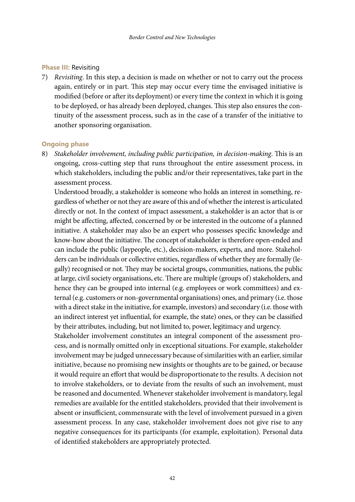#### **Phase III:** Revisiting

7) *Revisiting*. In this step, a decision is made on whether or not to carry out the process again, entirely or in part. This step may occur every time the envisaged initiative is modified (before or after its deployment) or every time the context in which it is going to be deployed, or has already been deployed, changes. This step also ensures the continuity of the assessment process, such as in the case of a transfer of the initiative to another sponsoring organisation.

#### **Ongoing phase**

8) *Stakeholder involvement, including public participation, in decision-making*. This is an ongoing, cross-cutting step that runs throughout the entire assessment process, in which stakeholders, including the public and/or their representatives, take part in the assessment process.

Understood broadly, a stakeholder is someone who holds an interest in something, regardless of whether or not they are aware of this and of whether the interest is articulated directly or not. In the context of impact assessment, a stakeholder is an actor that is or might be affecting, affected, concerned by or be interested in the outcome of a planned initiative. A stakeholder may also be an expert who possesses specific knowledge and know-how about the initiative. The concept of stakeholder is therefore open-ended and can include the public (laypeople, etc.), decision-makers, experts, and more. Stakeholders can be individuals or collective entities, regardless of whether they are formally (legally) recognised or not. They may be societal groups, communities, nations, the public at large, civil society organisations, etc. There are multiple (groups of) stakeholders, and hence they can be grouped into internal (e.g. employees or work committees) and external (e.g. customers or non-governmental organisations) ones, and primary (i.e. those with a direct stake in the initiative, for example, investors) and secondary (i.e. those with an indirect interest yet influential, for example, the state) ones, or they can be classified by their attributes, including, but not limited to, power, legitimacy and urgency.

Stakeholder involvement constitutes an integral component of the assessment process, and is normally omitted only in exceptional situations. For example, stakeholder involvement may be judged unnecessary because of similarities with an earlier, similar initiative, because no promising new insights or thoughts are to be gained, or because it would require an effort that would be disproportionate to the results. A decision not to involve stakeholders, or to deviate from the results of such an involvement, must be reasoned and documented. Whenever stakeholder involvement is mandatory, legal remedies are available for the entitled stakeholders, provided that their involvement is absent or insufficient, commensurate with the level of involvement pursued in a given assessment process. In any case, stakeholder involvement does not give rise to any negative consequences for its participants (for example, exploitation). Personal data of identified stakeholders are appropriately protected.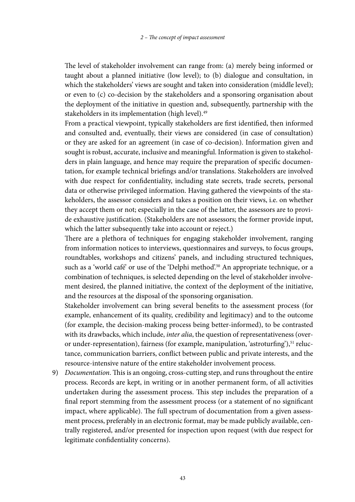The level of stakeholder involvement can range from: (a) merely being informed or taught about a planned initiative (low level); to (b) dialogue and consultation, in which the stakeholders' views are sought and taken into consideration (middle level); or even to (c) co-decision by the stakeholders and a sponsoring organisation about the deployment of the initiative in question and, subsequently, partnership with the stakeholders in its implementation (high level).<sup>49</sup>

From a practical viewpoint, typically stakeholders are first identified, then informed and consulted and, eventually, their views are considered (in case of consultation) or they are asked for an agreement (in case of co-decision). Information given and sought is robust, accurate, inclusive and meaningful. Information is given to stakeholders in plain language, and hence may require the preparation of specific documentation, for example technical briefings and/or translations. Stakeholders are involved with due respect for confidentiality, including state secrets, trade secrets, personal data or otherwise privileged information. Having gathered the viewpoints of the stakeholders, the assessor considers and takes a position on their views, i.e. on whether they accept them or not; especially in the case of the latter, the assessors are to provide exhaustive justification. (Stakeholders are not assessors; the former provide input, which the latter subsequently take into account or reject.)

There are a plethora of techniques for engaging stakeholder involvement, ranging from information notices to interviews, questionnaires and surveys, to focus groups, roundtables, workshops and citizens' panels, and including structured techniques, such as a 'world café' or use of the 'Delphi method'.<sup>50</sup> An appropriate technique, or a combination of techniques, is selected depending on the level of stakeholder involvement desired, the planned initiative, the context of the deployment of the initiative, and the resources at the disposal of the sponsoring organisation.

Stakeholder involvement can bring several benefits to the assessment process (for example, enhancement of its quality, credibility and legitimacy) and to the outcome (for example, the decision-making process being better-informed), to be contrasted with its drawbacks, which include, *inter alia*, the question of representativeness (overor under-representation), fairness (for example, manipulation, 'astroturfing'),<sup>51</sup> reluctance, communication barriers, conflict between public and private interests, and the resource-intensive nature of the entire stakeholder involvement process.

9) *Documentation*. This is an ongoing, cross-cutting step, and runs throughout the entire process. Records are kept, in writing or in another permanent form, of all activities undertaken during the assessment process. This step includes the preparation of a final report stemming from the assessment process (or a statement of no significant impact, where applicable). The full spectrum of documentation from a given assessment process, preferably in an electronic format, may be made publicly available, centrally registered, and/or presented for inspection upon request (with due respect for legitimate confidentiality concerns).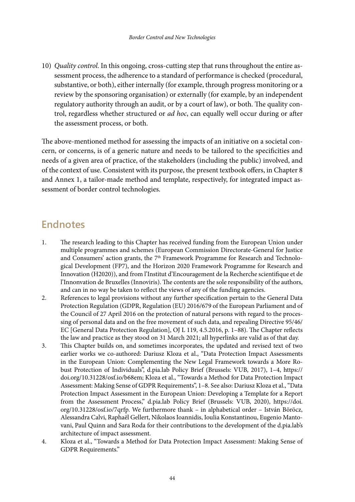10) *Quality control*. In this ongoing, cross-cutting step that runs throughout the entire assessment process, the adherence to a standard of performance is checked (procedural, substantive, or both), either internally (for example, through progress monitoring or a review by the sponsoring organisation) or externally (for example, by an independent regulatory authority through an audit, or by a court of law), or both. The quality control, regardless whether structured or *ad hoc*, can equally well occur during or after the assessment process, or both.

The above-mentioned method for assessing the impacts of an initiative on a societal concern, or concerns, is of a generic nature and needs to be tailored to the specificities and needs of a given area of practice, of the stakeholders (including the public) involved, and of the context of use. Consistent with its purpose, the present textbook offers, in Chapter 8 and Annex 1, a tailor-made method and template, respectively, for integrated impact assessment of border control technologies.

# **Endnotes**

- 1. The research leading to this Chapter has received funding from the European Union under multiple programmes and schemes (European Commission Directorate-General for Justice and Consumers' action grants, the 7<sup>th</sup> Framework Programme for Research and Technological Development (FP7), and the Horizon 2020 Framework Programme for Research and Innovation (H2020)), and from l'Institut d'Encouragement de la Recherche scientifique et de l'Innonvation de Bruxelles (Innoviris). The contents are the sole responsibility of the authors, and can in no way be taken to reflect the views of any of the funding agencies.
- 2. References to legal provisions without any further specification pertain to the General Data Protection Regulation (GDPR, Regulation (EU) 2016/679 of the European Parliament and of the Council of 27 April 2016 on the protection of natural persons with regard to the processing of personal data and on the free movement of such data, and repealing Directive 95/46/ EC [General Data Protection Regulation], OJ L 119, 4.5.2016, p. 1–88). The Chapter reflects the law and practice as they stood on 31 March 2021; all hyperlinks are valid as of that day.
- 3. This Chapter builds on, and sometimes incorporates, the updated and revised text of two earlier works we co-authored: Dariusz Kloza et al., "Data Protection Impact Assessments in the European Union: Complementing the New Legal Framework towards a More Robust Protection of Individuals", d.pia.lab Policy Brief (Brussels: VUB, 2017), 1–4, [https://](https://doi.org/10.31228/osf.io/b68em) [doi.org/10.31228/osf.io/b68em](https://doi.org/10.31228/osf.io/b68em); Kloza et al., "Towards a Method for Data Protection Impact Assessment: Making Sense of GDPR Requirements", 1–8. See also: Dariusz Kloza et al., "Data Protection Impact Assessment in the European Union: Developing a Template for a Report from the Assessment Process," d.pia.lab Policy Brief (Brussels: VUB, 2020), [https://doi.](https://doi.org/10.31228/osf.io/7qrfp) [org/10.31228/osf.io/7qrfp](https://doi.org/10.31228/osf.io/7qrfp). We furthermore thank – in alphabetical order – István Böröcz, Alessandra Calvi, Raphaël Gellert, Nikolaos Ioannidis, Ioulia Konstantinou, Eugenio Mantovani, Paul Quinn and Sara Roda for their contributions to the development of the d.pia.lab's architecture of impact assessment.
- 4. Kloza et al., "Towards a Method for Data Protection Impact Assessment: Making Sense of GDPR Requirements."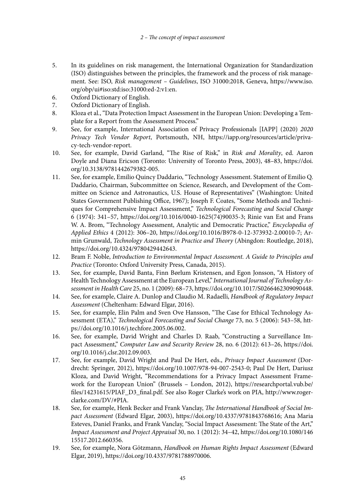- 5. In its guidelines on risk management, the International Organization for Standardization (ISO) distinguishes between the principles, the framework and the process of risk management. See: ISO, *Risk management – Guidelines*, ISO 31000:2018, Geneva, [https://www.iso.](https://www.iso.org/obp/ui#iso) [org/obp/ui#iso:](https://www.iso.org/obp/ui#iso)std:iso:31000:ed-2:v1:en.
- 6. Oxford Dictionary of English.
- 7. Oxford Dictionary of English.<br>8. Kloza et al., "Data Protection In
- 8. Kloza et al., "Data Protection Impact Assessment in the European Union: Developing a Template for a Report from the Assessment Process."
- 9. See, for example, International Association of Privacy Professionals [IAPP] (2020) *2020 Privacy Tech Vendor Report*, Portsmouth, NH, [https://iapp.org/resources/article/priva](https://iapp.org/resources/article/privacy-tech-vendor-report)[cy-tech-vendor-report.](https://iapp.org/resources/article/privacy-tech-vendor-report)
- 10. See, for example, David Garland, "The Rise of Risk," in *Risk and Morality*, ed. Aaron Doyle and Diana Ericson (Toronto: University of Toronto Press, 2003), 48–83, [https://doi.](https://doi.org/10.3138/9781442679382-005) [org/10.3138/9781442679382-005.](https://doi.org/10.3138/9781442679382-005)
- 11. See, for example, Emilio Quincy Daddario, "Technology Assessment. Statement of Emilio Q. Daddario, Chairman, Subcommittee on Science, Research, and Development of the Committee on Science and Astronautics, U.S. House of Representatives" (Washington: United States Government Publishing Office, 1967); Joseph F. Coates, "Some Methods and Techniques for Comprehensive Impact Assessment," *Technological Forecasting and Social Change* 6 (1974): 341–57, [https://doi.org/10.1016/0040-1625\(74\)90035-3](https://doi.org/10.1016/0040-1625(74)90035-3); Rinie van Est and Frans W. A. Brom, "Technology Assessment, Analytic and Democratic Practice," *Encyclopedia of Applied Ethics* 4 (2012): 306–20, [https://doi.org/10.1016/B978-0-12-373932-2.00010-7;](https://doi.org/10.1016/B978-0-12-373932-2.00010-7) Armin Grunwald, *Technology Assessment in Practice and Theory* (Abingdon: Routledge, 2018), <https://doi.org/10.4324/9780429442643>.
- 12. Bram F. Noble, *Introduction to Environmental Impact Assessment. A Guide to Principles and Practice* (Toronto: Oxford University Press, Canada, 2015).
- 13. See, for example, David Banta, Finn Børlum Kristensen, and Egon Jonsson, "A History of Health Technology Assessment at the European Level," *International Journal of Technology Assessment in Health Care* 25, no. 1 (2009): 68–73,<https://doi.org/10.1017/S0266462309090448>.
- 14. See, for example, Claire A. Dunlop and Claudio M. Radaelli, *Handbook of Regulatory Impact Assessment* (Cheltenham: Edward Elgar, 2016).
- 15. See, for example, Elin Palm and Sven Ove Hansson, "The Case for Ethical Technology Assessment (ETA)," *Technological Forecasting and Social Change* 73, no. 5 (2006): 543–58, [htt](https://doi.org/10.1016/j.techfore.2005.06.002)[ps://doi.org/10.1016/j.techfore.2005.06.002](https://doi.org/10.1016/j.techfore.2005.06.002).
- 16. See, for example, David Wright and Charles D. Raab, "Constructing a Surveillance Impact Assessment," *Computer Law and Security Review* 28, no. 6 (2012): 613–26, [https://doi.](https://doi.org/10.1016/j.clsr.2012.09.003) [org/10.1016/j.clsr.2012.09.003.](https://doi.org/10.1016/j.clsr.2012.09.003)
- 17. See, for example, David Wright and Paul De Hert, eds., *Privacy Impact Assessment* (Dordrecht: Springer, 2012), [https://doi.org/10.1007/978-94-007-2543-0;](https://doi.org/10.1007/978-94-007-2543-0) Paul De Hert, Dariusz Kloza, and David Wright, "Recommendations for a Privacy Impact Assessment Framework for the European Union" (Brussels – London, 2012), [https://researchportal.vub.be/](https://researchportal.vub.be/files/14231615/PIAF_D3_final.pdf) [files/14231615/PIAF\\_D3\\_final.pdf.](https://researchportal.vub.be/files/14231615/PIAF_D3_final.pdf) See also Roger Clarke's work on PIA, [http://www.roger](http://www.rogerclarke.com/DV/#PIA)[clarke.com/DV/#PIA.](http://www.rogerclarke.com/DV/#PIA)
- 18. See, for example, Henk Becker and Frank Vanclay, *The International Handbook of Social Impact Assessment* (Edward Elgar, 2003), [https://doi.org/10.4337/9781843768616;](https://doi.org/10.4337/9781843768616) Ana Maria Esteves, Daniel Franks, and Frank Vanclay, "Social Impact Assessment: The State of the Art," *Impact Assessment and Project Appraisal* 30, no. 1 (2012): 34–42, [https://doi.org/10.1080/146](https://doi.org/10.1080/14615517.2012.660356) [15517.2012.660356](https://doi.org/10.1080/14615517.2012.660356).
- 19. See, for example, Nora Götzmann, *Handbook on Human Rights Impact Assessment* (Edward Elgar, 2019), [https://doi.org/10.4337/9781788970006.](https://doi.org/10.4337/9781788970006)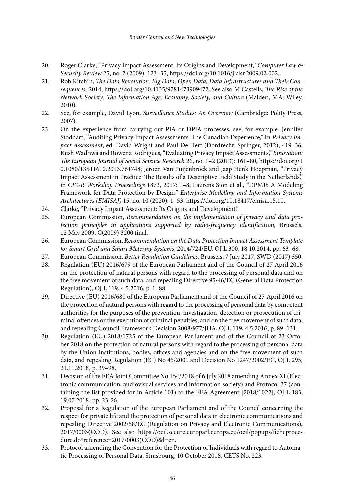- 20. Roger Clarke, "Privacy Impact Assessment: Its Origins and Development," *Computer Law & Security Review* 25, no. 2 (2009): 123–35,<https://doi.org/10.1016/j.clsr.2009.02.002>.
- 21. Rob Kitchin, *The Data Revolution: Big Data, Open Data, Data Infrastructures and Their Consequences*, 2014, <https://doi.org/10.4135/9781473909472>. See also M Castells, *The Rise of the Network Society: The Information Age: Economy, Society, and Culture* (Malden, MA: Wiley, 2010).
- 22. See, for example, David Lyon, *Surveillance Studies: An Overview* (Cambridge: Polity Press, 2007).
- 23. On the experience from carrying out PIA or DPIA processes, see, for example: Jennifer Stoddart, "Auditing Privacy Impact Assessments: The Canadian Experience," in *Privacy Impact Assessment*, ed. David Wright and Paul De Hert (Dordrecht: Springer, 2012), 419–36; Kush Wadhwa and Rowena Rodrigues, "Evaluating Privacy Impact Assessments," *Innovation: The European Journal of Social Science Research* 26, no. 1–2 (2013): 161–80, [https://doi.org/1](https://doi.org/10.1080/13511610.2013.761748) [0.1080/13511610.2013.761748;](https://doi.org/10.1080/13511610.2013.761748) Jeroen Van Puijenbroek and Jaap Henk Hoepman, "Privacy Impact Assessment in Practice: The Results of a Descriptive Field Study in the Netherlands," in *CEUR Workshop Proceedings* 1873, 2017: 1–8; Laurens Sion et al., "DPMF: A Modeling Framework for Data Protection by Design," *Enterprise Modelling and Information Systems Architectures (EMISAJ)* 15, no. 10 (2020): 1–53, <https://doi.org/10.18417/emisa.15.10>.
- 24. Clarke, "Privacy Impact Assessment: Its Origins and Development."<br>25. European Commission *Recommendation on the implementation of*
- 25. European Commission, *Recommendation on the implementation of privacy and data protection principles in applications supported by radio-frequency identification*, Brussels, 12 May 2009, C(2009) 3200 final.
- 26. European Commission, *Recommendation on the Data Protection Impact Assessment Template for Smart Grid and Smart Metering Systems*, 2014/724/EU, OJ L 300, 18.10.2014, pp. 63–68.
- 27. European Commission, *Better Regulation Guidelines*, Brussels, 7 July 2017, SWD (2017) 350.
- 28. Regulation (EU) 2016/679 of the European Parliament and of the Council of 27 April 2016 on the protection of natural persons with regard to the processing of personal data and on the free movement of such data, and repealing Directive 95/46/EC (General Data Protection Regulation), OJ L 119, 4.5.2016, p. 1–88.
- 29. Directive (EU) 2016/680 of the European Parliament and of the Council of 27 April 2016 on the protection of natural persons with regard to the processing of personal data by competent authorities for the purposes of the prevention, investigation, detection or prosecution of criminal offences or the execution of criminal penalties, and on the free movement of such data, and repealing Council Framework Decision 2008/977/JHA, OJ L 119, 4.5.2016, p. 89–131.
- 30. Regulation (EU) 2018/1725 of the European Parliament and of the Council of 23 October 2018 on the protection of natural persons with regard to the processing of personal data by the Union institutions, bodies, offices and agencies and on the free movement of such data, and repealing Regulation (EC) No 45/2001 and Decision No 1247/2002/EC, OJ L 295, 21.11.2018, p. 39–98.
- 31. Decision of the EEA Joint Committee No 154/2018 of 6 July 2018 amending Annex XI (Electronic communication, audiovisual services and information society) and Protocol 37 (containing the list provided for in Article 101) to the EEA Agreement [2018/1022], OJ L 183, 19.07.2018, pp. 23-26.
- 32. Proposal for a Regulation of the European Parliament and of the Council concerning the respect for private life and the protection of personal data in electronic communications and repealing Directive 2002/58/EC (Regulation on Privacy and Electronic Communications), 2017/0003(COD). See also [https://oeil.secure.europarl.europa.eu/oeil/popups/ficheproce](https://oeil.secure.europarl.europa.eu/oeil/popups/ficheprocedure.do?reference=2017/0003(COD)&l=en)[dure.do?reference=2017/0003\(COD\)&l=en](https://oeil.secure.europarl.europa.eu/oeil/popups/ficheprocedure.do?reference=2017/0003(COD)&l=en).
- 33. Protocol amending the Convention for the Protection of Individuals with regard to Automatic Processing of Personal Data, Strasbourg, 10 October 2018, CETS No. 223.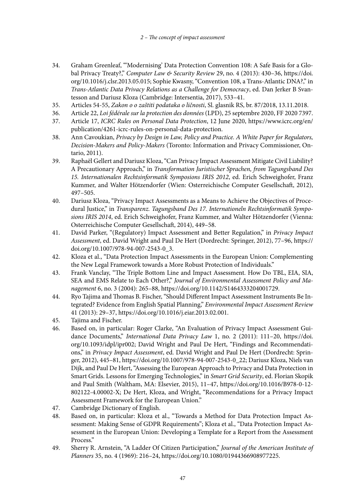- 34. Graham Greenleaf, "'Modernising' Data Protection Convention 108: A Safe Basis for a Global Privacy Treaty?," *Computer Law & Security Review* 29, no. 4 (2013): 430–36, [https://doi.](https://doi.org/10.1016/j.clsr.2013.05.015) [org/10.1016/j.clsr.2013.05.015;](https://doi.org/10.1016/j.clsr.2013.05.015) Sophie Kwasny, "Convention 108, a Trans-Atlantic DNA?," in *Trans-Atlantic Data Privacy Relations as a Challenge for Democracy*, ed. Dan Jerker B Svantesson and Dariusz Kloza (Cambridge: Intersentia, 2017), 533–41.
- 35. Articles 54-55, *Zakon o o zaštiti podataka o ličnosti*, Sl. glasnik RS, br. 87/2018, 13.11.2018.
- 36. Article 22, *Loi fédérale sur la protection des données* (LPD), 25 septembre 2020, FF 2020 7397.
- 37. Article 17, *ICRC Rules on Personal Data Protection*, 12 June 2020, [https://www.icrc.org/en/](https://www.icrc.org/en/publication/4261-icrc-rules-on-personal-data-protection) [publication/4261-icrc-rules-on-personal-data-protection.](https://www.icrc.org/en/publication/4261-icrc-rules-on-personal-data-protection)
- 38. Ann Cavoukian, *Privacy by Design in Law, Policy and Practice. A White Paper for Regulators, Decision-Makers and Policy-Makers* (Toronto: Information and Privacy Commissioner, Ontario, 2011).
- 39. Raphaël Gellert and Dariusz Kloza, "Can Privacy Impact Assessment Mitigate Civil Liability? A Precautionary Approach," in *Transformation Juristischer Sprachen, from Tagungsband Des 15. Internationalen Rechtsinformatik Symposions IRIS 2012*, ed. Erich Schweighofer, Franz Kummer, and Walter Hötzendorfer (Wien: Osterreichische Computer Gesellschaft, 2012), 497–505.
- 40. Dariusz Kloza, "Privacy Impact Assessments as a Means to Achieve the Objectives of Procedural Justice," in *Transparenz. Tagungsband Des 17. Internationeln Rechtsinformatik Symposions IRIS 2014*, ed. Erich Schweighofer, Franz Kummer, and Walter Hötzendorfer (Vienna: Osterreichische Computer Gesellschaft, 2014), 449–58.
- 41. David Parker, "(Regulatory) Impact Assessment and Better Regulation," in *Privacy Impact Assessment*, ed. David Wright and Paul De Hert (Dordrecht: Springer, 2012), 77–96, [https://](https://doi.org/10.1007/978-94-007-2543-0_3) [doi.org/10.1007/978-94-007-2543-0\\_3.](https://doi.org/10.1007/978-94-007-2543-0_3)
- 42. Kloza et al., "Data Protection Impact Assessments in the European Union: Complementing the New Legal Framework towards a More Robust Protection of Individuals."
- 43. Frank Vanclay, "The Triple Bottom Line and Impact Assessment. How Do TBL, EIA, SIA, SEA and EMS Relate to Each Other?," *Journal of Environmental Assessment Policy and Management* 6, no. 3 (2004): 265–88, [https://doi.org/10.1142/S1464333204001729.](https://doi.org/10.1142/S1464333204001729)
- 44. Ryo Tajima and Thomas B. Fischer, "Should Different Impact Assessment Instruments Be Integrated? Evidence from English Spatial Planning," *Environmental Impact Assessment Review* 41 (2013): 29–37, <https://doi.org/10.1016/j.eiar.2013.02.001>.
- 45. Tajima and Fischer.
- 46. Based on, in particular: Roger Clarke, "An Evaluation of Privacy Impact Assessment Guidance Documents," *International Data Privacy Law* 1, no. 2 (2011): 111–20, [https://doi.](https://doi.org/10.1093/idpl/ipr002) [org/10.1093/idpl/ipr002](https://doi.org/10.1093/idpl/ipr002); David Wright and Paul De Hert, "Findings and Recommendations," in *Privacy Impact Assessment*, ed. David Wright and Paul De Hert (Dordrecht: Springer, 2012), 445–81, [https://doi.org/10.1007/978-94-007-2543-0\\_22](https://doi.org/10.1007/978-94-007-2543-0_22); Dariusz Kloza, Niels van Dijk, and Paul De Hert, "Assessing the European Approach to Privacy and Data Protection in Smart Grids. Lessons for Emerging Technologies," in *Smart Grid Security*, ed. Florian Skopik and Paul Smith (Waltham, MA: Elsevier, 2015), 11–47, [https://doi.org/10.1016/B978-0-12-](https://doi.org/10.1016/B978-0-12-802122-4.00002-X) [802122-4.00002-X;](https://doi.org/10.1016/B978-0-12-802122-4.00002-X) De Hert, Kloza, and Wright, "Recommendations for a Privacy Impact Assessment Framework for the European Union."
- 47. Cambridge Dictionary of English.
- 48. Based on, in particular: Kloza et al., "Towards a Method for Data Protection Impact Assessment: Making Sense of GDPR Requirements"; Kloza et al., "Data Protection Impact Assessment in the European Union: Developing a Template for a Report from the Assessment Process."
- 49. Sherry R. Arnstein, "A Ladder Of Citizen Participation," *Journal of the American Institute of Planners* 35, no. 4 (1969): 216–24,<https://doi.org/10.1080/01944366908977225>.